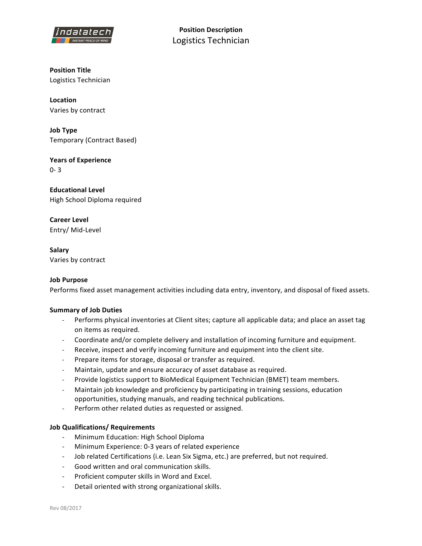

**Position Description** Logistics Technician

**Position Title** Logistics Technician

**Location** Varies by contract

**Job Type** Temporary (Contract Based)

**Years of Experience** 0- 3

**Educational Level** High School Diploma required

**Career Level** Entry/ Mid-Level

**Salary** Varies by contract

## **Job Purpose**

Performs fixed asset management activities including data entry, inventory, and disposal of fixed assets.

## **Summary of Job Duties**

- Performs physical inventories at Client sites; capture all applicable data; and place an asset tag on items as required.
- Coordinate and/or complete delivery and installation of incoming furniture and equipment.
- Receive, inspect and verify incoming furniture and equipment into the client site.
- Prepare items for storage, disposal or transfer as required.
- Maintain, update and ensure accuracy of asset database as required.
- Provide logistics support to BioMedical Equipment Technician (BMET) team members.
- Maintain job knowledge and proficiency by participating in training sessions, education opportunities, studying manuals, and reading technical publications.
- Perform other related duties as requested or assigned.

## **Job Qualifications/ Requirements**

- Minimum Education: High School Diploma
- Minimum Experience: 0-3 years of related experience
- Job related Certifications (i.e. Lean Six Sigma, etc.) are preferred, but not required.
- Good written and oral communication skills.
- Proficient computer skills in Word and Excel.
- Detail oriented with strong organizational skills.